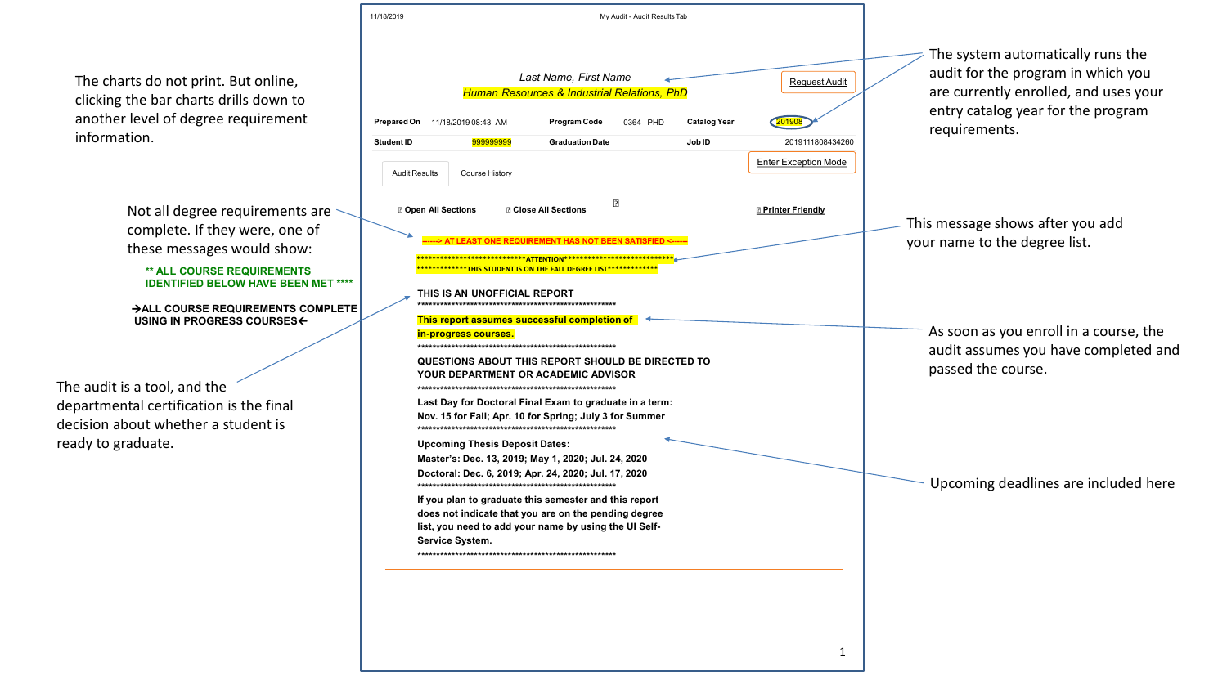11/18/2019 My Audit - Audit ResultsTab

Not all degree requirements are  $\sim$ complete. If they were, one of these messages would show:

### **\*\* ALL COURSE REQUIREMENTS IDENTIFIED BELOW HAVE BEEN MET \*\***

The charts do not print. But online, clicking the bar charts drills down to another level of degree requirement information.

The audit is a tool, and the departmental certification is the final decision about whether a student is ready to graduate.

|                      |                            |                                       | Last Name, First Name<br><b>Human Resources &amp; Industrial Relations, PhD</b>                                                                             |          |                     | Request                   |
|----------------------|----------------------------|---------------------------------------|-------------------------------------------------------------------------------------------------------------------------------------------------------------|----------|---------------------|---------------------------|
|                      |                            |                                       |                                                                                                                                                             |          |                     |                           |
| <b>Prepared On</b>   |                            | 11/18/2019 08:43 AM                   | <b>Program Code</b>                                                                                                                                         | 0364 PHD | <b>Catalog Year</b> | 201908                    |
| <b>Student ID</b>    |                            | 999999999                             | <b>Graduation Date</b>                                                                                                                                      |          | Job ID              | 201911180                 |
| <b>Audit Results</b> |                            | <b>Course History</b>                 |                                                                                                                                                             |          |                     | <b>Enter Exception</b>    |
|                      | <b>2 Open All Sections</b> |                                       | <b>Z Close All Sections</b>                                                                                                                                 | [?]      |                     | <b>D</b> Printer Friendly |
|                      |                            |                                       | ---> AT LEAST ONE REQUIREMENT HAS NOT BEEN SATISFIED <------                                                                                                |          |                     |                           |
|                      |                            |                                       | ********************* <mark>*ATTENTION**************************</mark><br>*************THIS        STUDENT IS ON THE FALL DEGREE        LIST************** |          |                     |                           |
|                      |                            |                                       |                                                                                                                                                             |          |                     |                           |
|                      |                            | THIS IS AN UNOFFICIAL REPORT          |                                                                                                                                                             |          |                     |                           |
|                      |                            |                                       |                                                                                                                                                             |          |                     |                           |
|                      |                            |                                       | This report assumes successful completion of                                                                                                                |          |                     |                           |
|                      |                            | in-progress courses.                  |                                                                                                                                                             |          |                     |                           |
|                      |                            |                                       | QUESTIONS ABOUT THIS REPORT SHOULD BE DIRECTED TO                                                                                                           |          |                     |                           |
|                      |                            |                                       | <b>YOUR DEPARTMENT OR ACADEMIC ADVISOR</b>                                                                                                                  |          |                     |                           |
|                      |                            |                                       | Last Day for Doctoral Final Exam to graduate in a term:                                                                                                     |          |                     |                           |
|                      |                            |                                       | Nov. 15 for Fall; Apr. 10 for Spring; July 3 for Summer                                                                                                     |          |                     |                           |
|                      |                            |                                       |                                                                                                                                                             |          |                     |                           |
|                      |                            | <b>Upcoming Thesis Deposit Dates:</b> | Master's: Dec. 13, 2019; May 1, 2020; Jul. 24, 2020                                                                                                         |          |                     |                           |
|                      |                            |                                       | Doctoral: Dec. 6, 2019; Apr. 24, 2020; Jul. 17, 2020                                                                                                        |          |                     |                           |
|                      |                            |                                       | If you plan to graduate this semester and this report<br>does not indicate that you are on the pending degree                                               |          |                     |                           |
|                      | Service System.            |                                       | list, you need to add your name by using the UI Self-                                                                                                       |          |                     |                           |



### **ALL COURSE REQUIREMENTS COMPLE USING IN PROGRESS COURSES**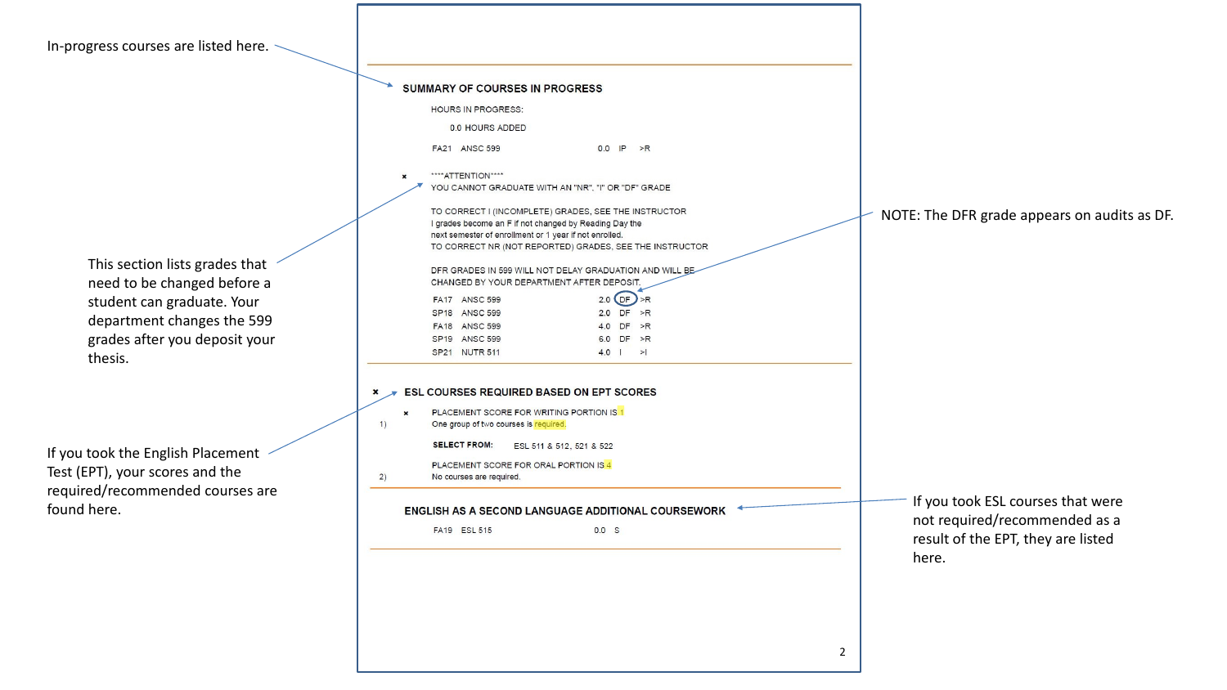In-progress courses are listed here. ~

|                                                               | SUMMARY OF COURSES IN PROGRESS<br><b>HOURS IN PROGRESS:</b>                                                                                                                                                                         |                                                                    |
|---------------------------------------------------------------|-------------------------------------------------------------------------------------------------------------------------------------------------------------------------------------------------------------------------------------|--------------------------------------------------------------------|
|                                                               |                                                                                                                                                                                                                                     |                                                                    |
|                                                               | 0.0 HOURS ADDED                                                                                                                                                                                                                     |                                                                    |
|                                                               | $0.0$ IP $>$ R<br>FA21 ANSC 599                                                                                                                                                                                                     |                                                                    |
|                                                               | ****ATTENTION****<br>YOU CANNOT GRADUATE WITH AN "NR", "I" OR "DF" GRADE                                                                                                                                                            |                                                                    |
|                                                               | TO CORRECT I (INCOMPLETE) GRADES, SEE THE INSTRUCTOR<br>I grades become an F if not changed by Reading Day the<br>next semester of enrollment or 1 year if not enrolled.<br>TO CORRECT NR (NOT REPORTED) GRADES, SEE THE INSTRUCTOR | NOTE: The DFR grade appears on audit                               |
| This section lists grades that<br>need to be changed before a | DFR GRADES IN 599 WILL NOT DELAY GRADUATION AND WILL BE<br>CHANGED BY YOUR DEPARTMENT AFTER DEPOSIT.                                                                                                                                |                                                                    |
| student can graduate. Your                                    | $2.0$ OF $> R$<br><b>FA17 ANSC 599</b>                                                                                                                                                                                              |                                                                    |
| department changes the 599                                    | 2.0 $DF$ >R<br>SP18 ANSC 599<br>4.0 DF >R<br>FA18 ANSC 599                                                                                                                                                                          |                                                                    |
| grades after you deposit your                                 | 6.0 $DF \gt R$<br>SP19 ANSC 599                                                                                                                                                                                                     |                                                                    |
| thesis.                                                       | SP21 NUTR 511<br>$4.0$   >                                                                                                                                                                                                          |                                                                    |
|                                                               | ESL COURSES REQUIRED BASED ON EPT SCORES                                                                                                                                                                                            |                                                                    |
|                                                               | PLACEMENT SCORE FOR WRITING PORTION IS 1<br>One group of two courses is required.<br>1)                                                                                                                                             |                                                                    |
|                                                               | <b>SELECT FROM:</b><br>ESL 511 & 512, 521 & 522                                                                                                                                                                                     |                                                                    |
| If you took the English Placement                             | PLACEMENT SCORE FOR ORAL PORTION IS 4                                                                                                                                                                                               |                                                                    |
| Test (EPT), your scores and the                               | 2)<br>No courses are required.                                                                                                                                                                                                      |                                                                    |
| required/recommended courses are<br>found here.               | ENGLISH AS A SECOND LANGUAGE ADDITIONAL COURSEWORK                                                                                                                                                                                  | If you took ESL courses that were<br>not required/recommended as a |
|                                                               | FA19 ESL 515<br>0.0 S                                                                                                                                                                                                               | result of the EPT, they are listed                                 |
|                                                               |                                                                                                                                                                                                                                     | here.                                                              |
|                                                               |                                                                                                                                                                                                                                     |                                                                    |
|                                                               |                                                                                                                                                                                                                                     |                                                                    |
|                                                               |                                                                                                                                                                                                                                     |                                                                    |
|                                                               |                                                                                                                                                                                                                                     |                                                                    |
|                                                               |                                                                                                                                                                                                                                     |                                                                    |
|                                                               |                                                                                                                                                                                                                                     |                                                                    |

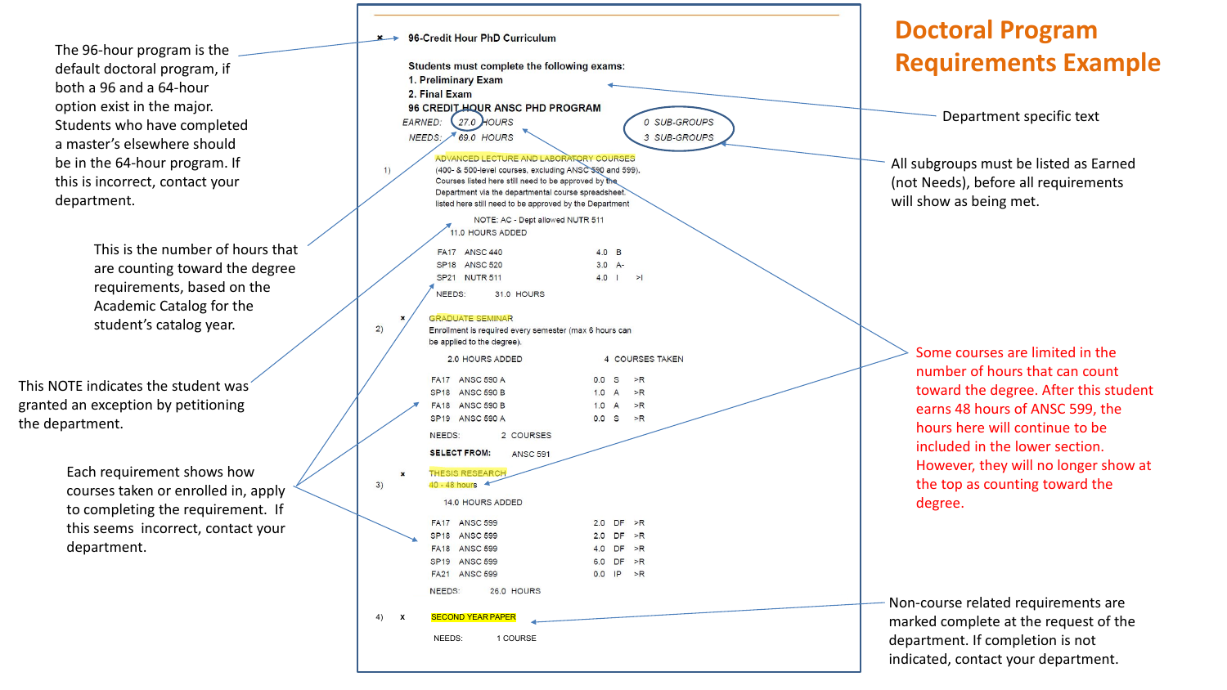Department specific text

The 96 -hour program is the default doctoral program, if both a 96 and a 64 -hour option exist in the major. Students who have completed a master's elsewhere should be in the 64 -hour program. If this is incorrect, contact your department.

> This is the number of hours that are counting toward the degree requirements, based on the Academic Catalog for the student's catalog year.

|                                 | Students must complete the following exams:<br>1. Preliminary Exam<br>2. Final Exam                                                                                                                                                                                          |                                  |                     |                              |
|---------------------------------|------------------------------------------------------------------------------------------------------------------------------------------------------------------------------------------------------------------------------------------------------------------------------|----------------------------------|---------------------|------------------------------|
|                                 | 96 CREDIT HOUR ANSC PHD PROGRAM                                                                                                                                                                                                                                              |                                  |                     |                              |
| <b>EARNED:</b>                  | 27.0 HOURS<br>NEEDS: 69.0 HOURS                                                                                                                                                                                                                                              |                                  |                     | 0 SUB-GROUPS<br>3 SUB-GROUPS |
|                                 |                                                                                                                                                                                                                                                                              |                                  |                     |                              |
| 1)                              | ADVANCED LECTURE AND LABORATORY COURSES<br>(400- & 500-level courses, excluding ANSC 590 and 599).<br>Courses listed here still need to be approved by the<br>Department via the departmental course spreadsheet.<br>listed here still need to be approved by the Department |                                  |                     |                              |
|                                 | 11.0 HOURS ADDED                                                                                                                                                                                                                                                             | NOTE: AC - Dept allowed NUTR 511 |                     |                              |
|                                 | <b>FA17</b><br><b>ANSC 440</b>                                                                                                                                                                                                                                               | 4.0 B                            |                     |                              |
|                                 | <b>SP18</b><br><b>ANSC 520</b>                                                                                                                                                                                                                                               | $3.0 A -$                        |                     |                              |
|                                 | <b>SP21</b><br><b>NUTR 511</b>                                                                                                                                                                                                                                               | $4.0$                            |                     | >1                           |
|                                 | NEEDS:<br><b>31.0 HOURS</b>                                                                                                                                                                                                                                                  |                                  |                     |                              |
| ×                               | <b>GRADUATE SEMINAR</b><br>Enrollment is required every semester (max 6 hours can<br>be applied to the degree).<br><b>2.0 HOURS ADDED</b>                                                                                                                                    |                                  |                     | 4 COURSES TAKEN              |
|                                 |                                                                                                                                                                                                                                                                              |                                  |                     |                              |
|                                 | <b>FA17</b><br><b>ANSC 590 A</b><br>SP <sub>18</sub> ANSC 590 B                                                                                                                                                                                                              | 0.0<br>1.0                       | S<br>$\overline{A}$ | >R<br>$>$ R                  |
|                                 | FA18 ANSC 590 B                                                                                                                                                                                                                                                              | 1.0 A                            |                     | $>$ R                        |
|                                 | SP19 ANSC 590 A                                                                                                                                                                                                                                                              | 0.0 S                            |                     | $>$ R                        |
|                                 | NEEDS: 2 COURSES                                                                                                                                                                                                                                                             |                                  |                     |                              |
|                                 | <b>SELECT FROM:</b><br><b>ANSC 591</b>                                                                                                                                                                                                                                       |                                  |                     |                              |
| $\boldsymbol{\mathsf{x}}$<br>3) | <b>THESIS RESEARCH</b><br>40 - 48 hours                                                                                                                                                                                                                                      |                                  |                     |                              |
|                                 | 14.0 HOURS ADDED                                                                                                                                                                                                                                                             |                                  |                     |                              |
|                                 | <b>FA17 ANSC 599</b>                                                                                                                                                                                                                                                         |                                  |                     | 2.0 $DF \rightarrow R$       |
|                                 | SP18 ANSC 599                                                                                                                                                                                                                                                                |                                  |                     | 2.0 $DF \gt R$               |
|                                 | <b>FA18 ANSC 599</b>                                                                                                                                                                                                                                                         |                                  |                     | 4.0 $DF > R$                 |
|                                 | SP19 ANSC 599                                                                                                                                                                                                                                                                |                                  |                     | 6.0 $DF \gt R$               |
|                                 | <b>FA21 ANSC 599</b>                                                                                                                                                                                                                                                         |                                  |                     | $0.0$ IP >R                  |
|                                 | NEEDS: 26.0 HOURS                                                                                                                                                                                                                                                            |                                  |                     |                              |
| X                               | <b>SECOND YEAR PAPER</b>                                                                                                                                                                                                                                                     |                                  |                     |                              |
| 4)                              |                                                                                                                                                                                                                                                                              |                                  |                     |                              |

Each requirement shows how courses taken or enrolled in, apply to completing the requirement. If this seems incorrect, contact your department.

All subgroups must be listed as Earned (not Needs), before all requirements will show as being met.

Non -course related requirements are marked complete at the request of the department. If completion is not indicated, contact your department.

Some courses are limited in the numbe r of hours that can count toward th e degree. After this student earns 48 hours of ANSC 599, the hours here will continue to be included in the lower section. However, they will no longer show at the top as counting toward the degree.

### **Doctoral Program Requirements Example**

This NOTE indicates the student was granted an exception by petitioning the department.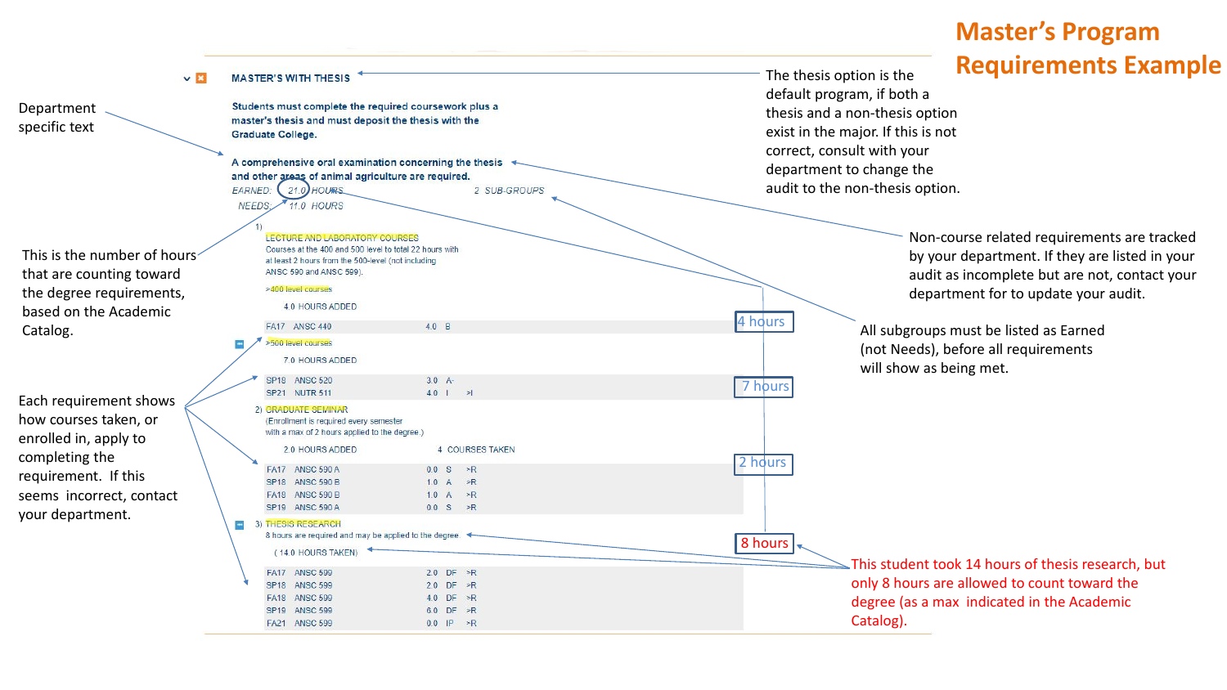| $\times$ $\mathbb{R}$<br>Department<br>specific text                                                         | <b>MASTER'S WITH THESIS</b><br>Students must complete the required coursework plus a<br>master's thesis and must deposit the thesis with the<br>Graduate College.<br>A comprehensive oral examination concerning the thesis                                     | Requirement<br>The thesis option is the<br>default program, if both a<br>thesis and a non-thesis option<br>exist in the major. If this is not<br>correct, consult with your |
|--------------------------------------------------------------------------------------------------------------|-----------------------------------------------------------------------------------------------------------------------------------------------------------------------------------------------------------------------------------------------------------------|-----------------------------------------------------------------------------------------------------------------------------------------------------------------------------|
|                                                                                                              | and other areas of animal agriculture are required.<br>EARNED:<br>2 SUB-GROUPS<br>21.0 HOURS<br><b>11.0 HOURS</b><br><b>NEEDS</b>                                                                                                                               | department to change the<br>audit to the non-thesis option.                                                                                                                 |
| This is the number of hours<br>that are counting toward<br>the degree requirements,<br>based on the Academic | LECTURE AND LABORATORY COURSES<br>Courses at the 400 and 500 level to total 22 hours with<br>at least 2 hours from the 500-level (not including<br>ANSC 590 and ANSC 599).<br>>400 level courses<br>4.0 HOURS ADDED<br>4 hours                                  | Non-course related requiremen<br>by your department. If they are<br>audit as incomplete but are not<br>department for to update your                                        |
| Catalog.                                                                                                     | 4.0 B<br>FA17 ANSC 440<br>>500 level courses<br>7.0 HOURS ADDED<br>SP18 ANSC 520<br>$3.0 A -$<br>7 hours                                                                                                                                                        | All subgroups must be listed as Earned<br>(not Needs), before all requirements<br>will show as being met.                                                                   |
| Each requirement shows<br>how courses taken, or<br>enrolled in, apply to                                     | SP21 NUTR 511<br>$4.0$   > <br>2) GRADUATE SEMINAR<br>(Enrollment is required every semester<br>with a max of 2 hours applied to the degree.)<br>2.0 HOURS ADDED<br>4 COURSES TAKEN                                                                             |                                                                                                                                                                             |
| completing the<br>requirement. If this<br>seems incorrect, contact                                           | 2 hours<br>FA17 ANSC 590 A<br>$0.0$ S $\geq R$<br>SP18 ANSC 590 B<br>1.0 A $\geq R$<br>1.0 A $\Rightarrow$ R<br>FA18 ANSC 590 B<br>SP19 ANSC 590 A<br>$0.0 S \ge R$                                                                                             |                                                                                                                                                                             |
| your department.                                                                                             | 3) THESIS RESEARCH<br>8 hours are required and may be applied to the degree.<br>8 hours<br>(14.0 HOURS TAKEN)<br>FA17 ANSC 599<br>2.0 DF $\geq R$<br>SP18 ANSC 599<br>2.0 DF $\geq R$<br>FA18 ANSC 599<br>4.0 DF $\geq R$<br>SP19 ANSC 599<br>$6.0$ DF $\geq R$ | This student took 14 hours of thesis rese<br>only 8 hours are allowed to count toward<br>degree (as a max indicated in the Acade                                            |
|                                                                                                              | FA21 ANSC 599<br>$0.0$ IP $\geq R$                                                                                                                                                                                                                              | Catalog).                                                                                                                                                                   |

# **Master's Program**  e thesis option is the **Requirements Example**

This student took 14 hours of thesis research, but only 8 hours are allowed to count toward the degree (as a max indicated in the Academic Catalog).

Non -course related requirements are tracked by your department. If they are listed in your audit as incomplete but are not, contact your department for to update your audit.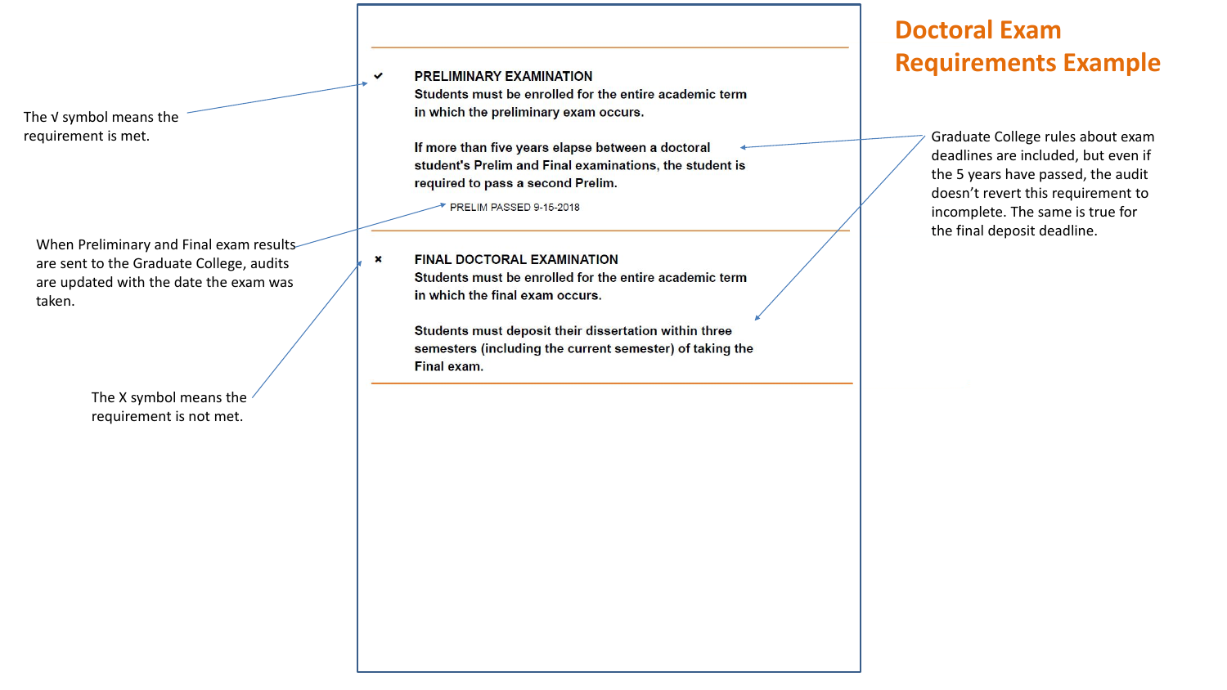## **Doctoral Exam Requirements Example**

The √ symbol means the

requirement is met. **Exercise 20 Constant of the United States 1980** of the state of the second state of the second of the second of the second state of the second state of the second state of the second state of the secon deadlines are included, but even if the 5 years have passed, the audit doesn't revert this requirement to incomplete. The same is true for the final deposit deadline.

When Preliminary and Final exam results are sent to the Graduate College, audits are updated with the date the exam was taken.

> The X symbol means the requirement is not met.

**PRELIMINARY EXAMINATION** 

 $\checkmark$ 

Students must be enrolled for the entire academic term in which the preliminary exam occurs.

student's Prelim and Final examinations, the student is required to pass a second Prelim.

PRELIM PASSED 9-15-2018

**FINAL DOCTORAL EXAMINATION**  $\boldsymbol{\mathsf{x}}$ Students must be enrolled for the entire academic term in which the final exam occurs.

> Students must deposit their dissertation within three semesters (including the current semester) of taking the Final exam.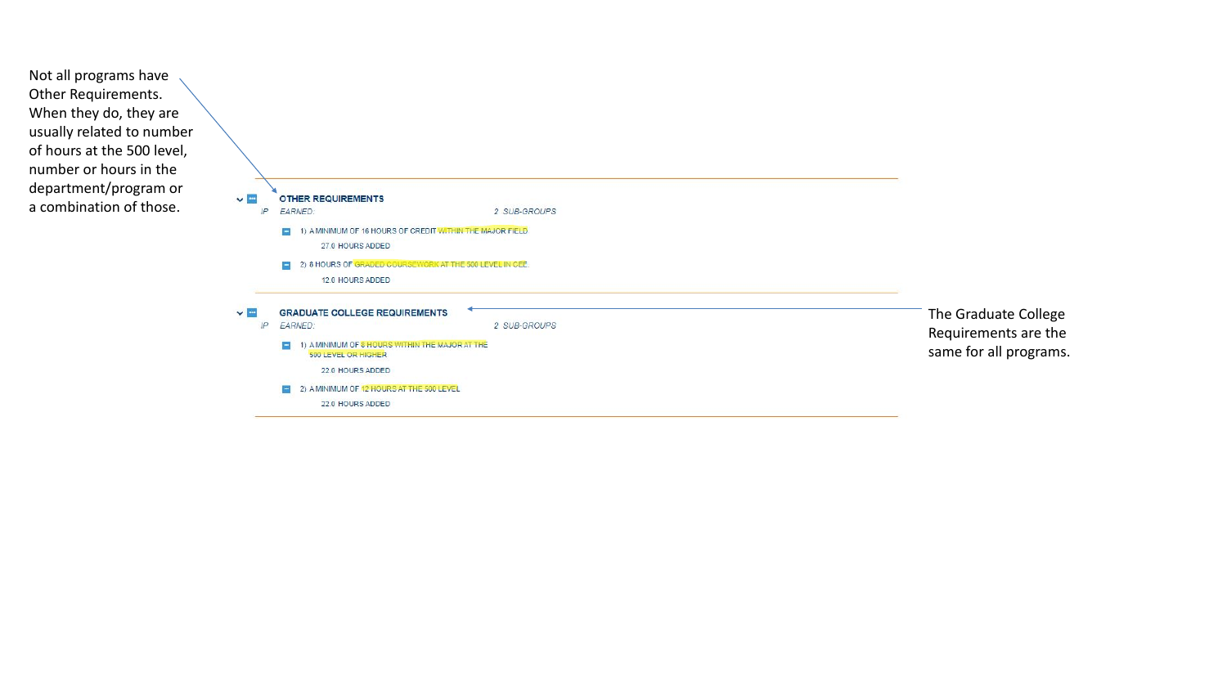The Graduate College Requirements are the same for all programs.

Not all programs have Other Requirements. When they do, they are usually related to number of hours at the 500 level, number or hours in the department/program or a combination of those.

|    | <b>OTHER REQUIREMENTS</b>                                              |              |
|----|------------------------------------------------------------------------|--------------|
| IP | <b>EARNED:</b>                                                         | 2 SUB-GROUPS |
|    | 1) A MINIMUM OF 16 HOURS OF CREDIT WITHIN THE MAJOR FIELD              |              |
|    | 27.0 HOURS ADDED                                                       |              |
|    | 2) 8 HOURS OF GRADED COURSEWORK AT THE 500 LEVEL IN CEE.               |              |
|    | 12.0 HOURS ADDED                                                       |              |
|    | <b>GRADUATE COLLEGE REQUIREMENTS</b>                                   |              |
| IP | EARNED:                                                                | 2 SUB-GROUPS |
|    | 1) A MINIMUM OF 8 HOURS WITHIN THE MAJOR AT THE<br>500 LEVEL OR HIGHER |              |
|    | 22.0 HOURS ADDED                                                       |              |
|    | 2) A MINIMUM OF 12 HOURS AT THE 500 LEVEL                              |              |
|    | 22.0 HOURS ADDED                                                       |              |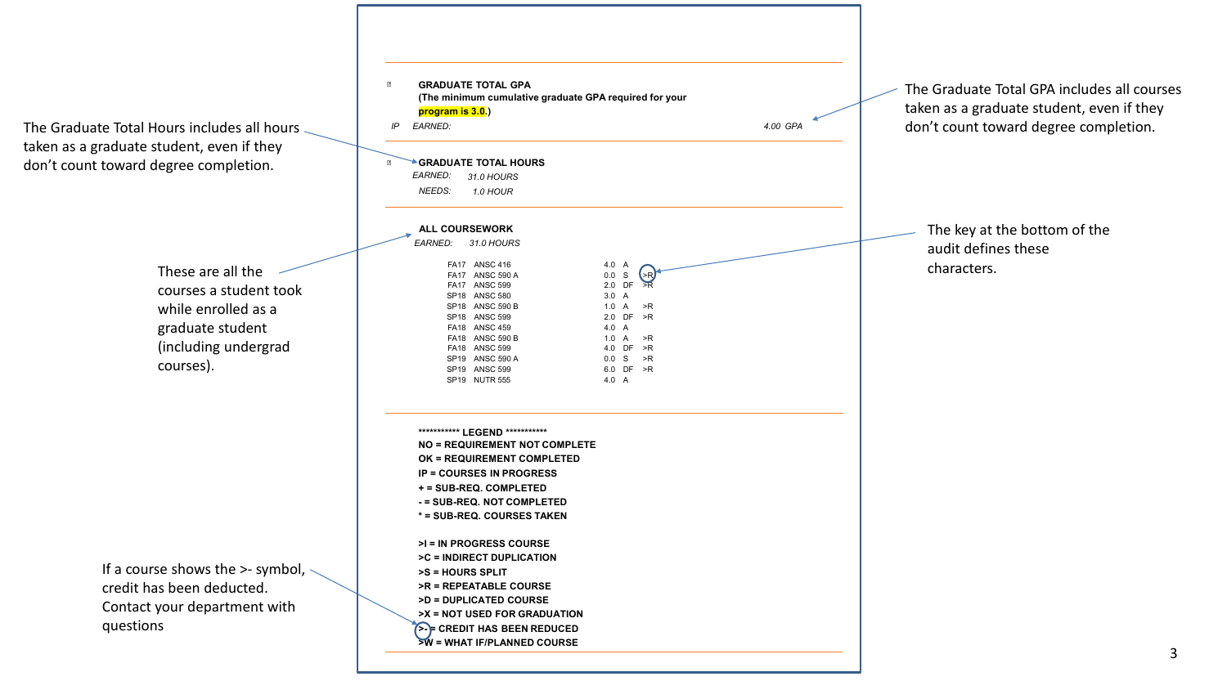

These are all the courses a student took while enrolled as a graduate student (including undergrad courses).

If a course shows the >- symbol, credit has been deducted. Contact your department with questions

taken as a graduate student, even if they don't count toward degree completion.